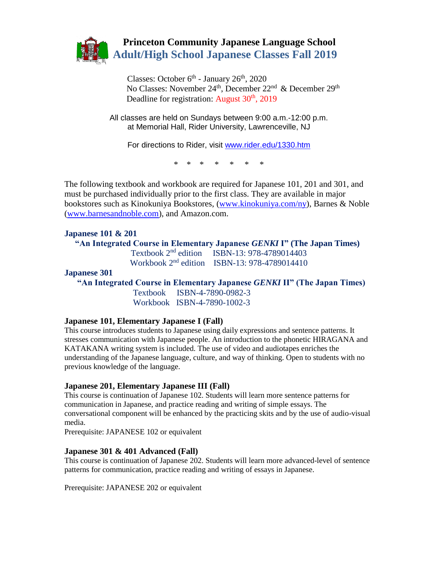

Classes: October 6<sup>th</sup> - January 26<sup>th</sup>, 2020 No Classes: November 24<sup>th</sup>, December 22<sup>nd</sup> & December 29<sup>th</sup> Deadline for registration: August  $30<sup>th</sup>$ ,  $2019$ 

> All classes are held on Sundays between 9:00 a.m.-12:00 p.m. at Memorial Hall, Rider University, Lawrenceville, NJ

For directions to Rider, visit [www.rider.edu/1330.htm](http://www.rider.edu/1330.htm) 

\* \* \* \* \* \* \*

The following textbook and workbook are required for Japanese 101, 201 and 301, and must be purchased individually prior to the first class. They are available in major bookstores such as Kinokuniya Bookstores, [\(www.kinokuniya.com/ny\)](http://www.kinokuniya.com/ny), Barnes & Noble [\(www.barnesandnoble.com\)](http://www.barnesandnoble.com/), and Amazon.com.

#### **Japanese 101 & 201**

 **"An Integrated Course in Elementary Japanese** *GENKI* **I" (The Japan Times)** Textbook 2nd edition ISBN-13: 978-4789014403 Workbook 2nd edition ISBN-13: 978-4789014410

#### **Japanese 301**

**"An Integrated Course in Elementary Japanese** *GENKI* **II" (The Japan Times)**

 Textbook ISBN-4-7890-0982-3 Workbook ISBN-4-7890-1002-3

#### **Japanese 101, Elementary Japanese I (Fall)**

This course introduces students to Japanese using daily expressions and sentence patterns. It stresses communication with Japanese people. An introduction to the phonetic HIRAGANA and KATAKANA writing system is included. The use of video and audiotapes enriches the understanding of the Japanese language, culture, and way of thinking. Open to students with no previous knowledge of the language.

#### **Japanese 201, Elementary Japanese III (Fall)**

This course is continuation of Japanese 102. Students will learn more sentence patterns for communication in Japanese, and practice reading and writing of simple essays. The conversational component will be enhanced by the practicing skits and by the use of audio-visual media.

Prerequisite: JAPANESE 102 or equivalent

#### **Japanese 301 & 401 Advanced (Fall)**

This course is continuation of Japanese 202. Students will learn more advanced-level of sentence patterns for communication, practice reading and writing of essays in Japanese.

Prerequisite: JAPANESE 202 or equivalent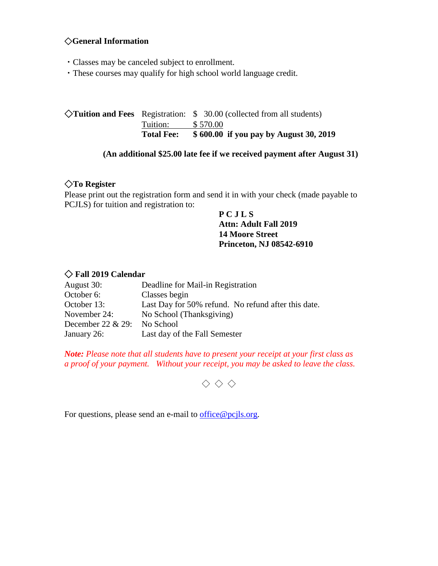# ◇**General Information**

- ・Classes may be canceled subject to enrollment.
- ・These courses may qualify for high school world language credit.

◇**Tuition and Fees** Registration: \$ 30.00 (collected from all students) Tuition: \$ 570.00 **Total Fee: \$ 600.00 if you pay by August 30, 2019**

### **(An additional \$25.00 late fee if we received payment after August 31)**

## ◇**To Register**

Please print out the registration form and send it in with your check (made payable to PCJLS) for tuition and registration to:

### **P C J L S Attn: Adult Fall 2019 14 Moore Street Princeton, NJ 08542-6910**

## ◇ **Fall 2019 Calendar**

| August 30:          | Deadline for Mail-in Registration                   |
|---------------------|-----------------------------------------------------|
| October 6:          | Classes begin                                       |
| October 13:         | Last Day for 50% refund. No refund after this date. |
| November 24:        | No School (Thanksgiving)                            |
| December 22 $& 29:$ | No School                                           |
| January 26:         | Last day of the Fall Semester                       |

*Note: Please note that all students have to present your receipt at your first class as a proof of your payment. Without your receipt, you may be asked to leave the class.*

 $\diamondsuit \diamondsuit$ 

For questions, please send an e-mail to [office@pcjls.org.](mailto:office@pcjls.org)